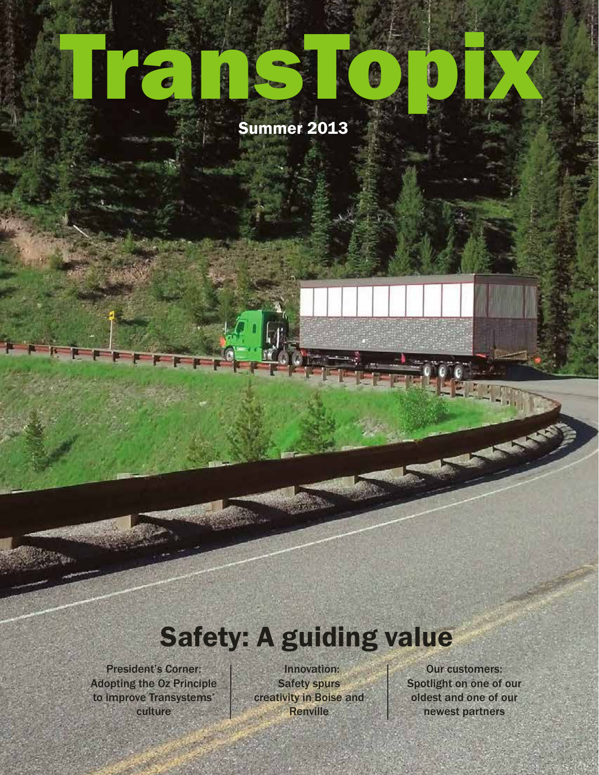# TransTopix

#### Summer 2013

## Safety: A guiding value

President's Corner: Adopting the Oz Principle to improve Transystems' culture

Innovation: Safety spurs creativity in Boise and **Renville** 

Our customers: Spotlight on one of our oldest and one of our newest partners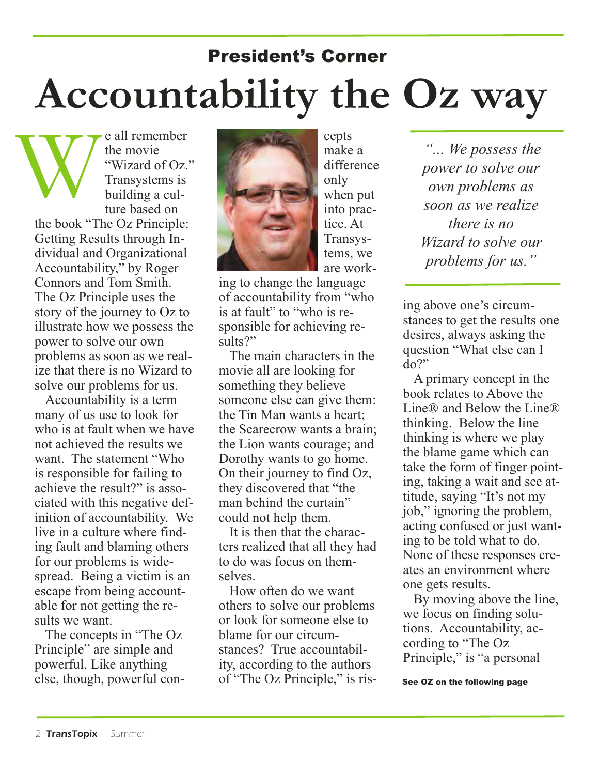# President's Corner **Accountability the Oz way**

e all remember the movie "Wizard of Oz." Transystems is building a culture based on the book "The Oz Principle: Getting Results through Individual and Organizational Accountability," by Roger Connors and Tom Smith. The Oz Principle uses the story of the journey to Oz to illustrate how we possess the power to solve our own problems as soon as we realize that there is no Wizard to solve our problems for us. W

Accountability is a term many of us use to look for who is at fault when we have not achieved the results we want. The statement "Who is responsible for failing to achieve the result?" is associated with this negative definition of accountability. We live in a culture where finding fault and blaming others for our problems is widespread. Being a victim is an escape from being accountable for not getting the results we want.

The concepts in "The Oz Principle" are simple and powerful. Like anything else, though, powerful con-



cepts make a difference only when put into practice. At Transystems, we are work-

ing to change the language of accountability from "who is at fault" to "who is responsible for achieving results?"

The main characters in the movie all are looking for something they believe someone else can give them: the Tin Man wants a heart; the Scarecrow wants a brain; the Lion wants courage; and Dorothy wants to go home. On their journey to find Oz, they discovered that "the man behind the curtain" could not help them.

It is then that the characters realized that all they had to do was focus on themselves.

How often do we want others to solve our problems or look for someone else to blame for our circumstances? True accountability, according to the authors of "The Oz Principle," is ris-

*"... We possess the power to solve our own problems as soon as we realize there is no Wizard to solve our problems for us."*

ing above one's circumstances to get the results one desires, always asking the question "What else can I  $\overline{d}$ <sup>2</sup>

A primary concept in the book relates to Above the Line® and Below the Line® thinking. Below the line thinking is where we play the blame game which can take the form of finger pointing, taking a wait and see attitude, saying "It's not my job," ignoring the problem, acting confused or just wanting to be told what to do. None of these responses creates an environment where one gets results.

By moving above the line, we focus on finding solutions. Accountability, according to "The Oz Principle," is "a personal

See OZ on the following page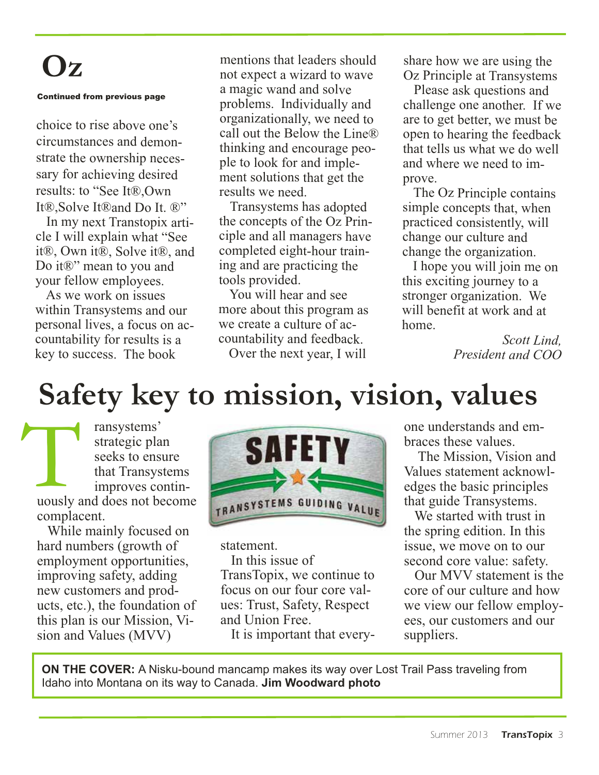## **Oz**

#### Continued from previous page

choice to rise above one's circumstances and demonstrate the ownership necessary for achieving desired results: to "See It®,Own It<sup>®</sup>,Solve It<sup>®</sup> and Do It. ®"

In my next Transtopix article I will explain what "See it®, Own it®, Solve it®, and Do it®" mean to you and your fellow employees.

As we work on issues within Transystems and our personal lives, <sup>a</sup> focus on accountability for results is <sup>a</sup> key to success. The book

mentions that leaders should not expect <sup>a</sup> wizard to wave <sup>a</sup> magic wand and solve problems. Individually and organizationally, we need to call out the Below the Line® thinking and encourage people to look for and implement solutions that ge<sup>t</sup> the results we need.

Transystems has adopted the concepts of the Oz Principle and all managers have completed eight-hour training and are practicing the tools provided.

You will hear and see more about this program as we create <sup>a</sup> culture of accountability and feedback.

Over the next year, I will

share how we are using the Oz Principle at Transystems

Please ask questions and challenge one another. If we are to ge<sup>t</sup> better, we must be open to hearing the feedback that tells us what we do well and where we need to improve.

The Oz Principle contains simple concepts that, when practiced consistently, will change our culture and change the organization.

I hope you will join me on this exciting journey to <sup>a</sup> stronger organization. We will benefit at work and at home.

> *Scott Lind, President and COO*

## **Safety key to mission, vision, values**

ransystems' strategic plan seeks to ensure that Transystems improves contin-Tansystems'<br>
strategic plan<br>
seeks to ensure<br>
that Transystems<br>
improves contin-<br>
uously and does not become complacent.

While mainly focused on hard numbers (growth of employment opportunities, improving safety, adding new customers and products, etc.), the foundation of this plan is our Mission, Vision and Values (MVV)



statement. In this issue of TransTopix, we continue to focus on our four core values: Trust, Safety, Respect and Union Free.

It is important that every-

one understands and embraces these values.

The Mission, Vision and Values statement acknowledges the basic principles that guide Transystems.

We started with trust in the spring edition. In this issue, we move on to our second core value: safety.

Our MVV statement is the core of our culture and how we view our fellow employees, our customers and our suppliers.

**ON THE COVER:** A Nisku-bound mancamp makes its way over Lost Trail Pass traveling from Idaho into Montana on its way to Canada. **Jim Woodward photo**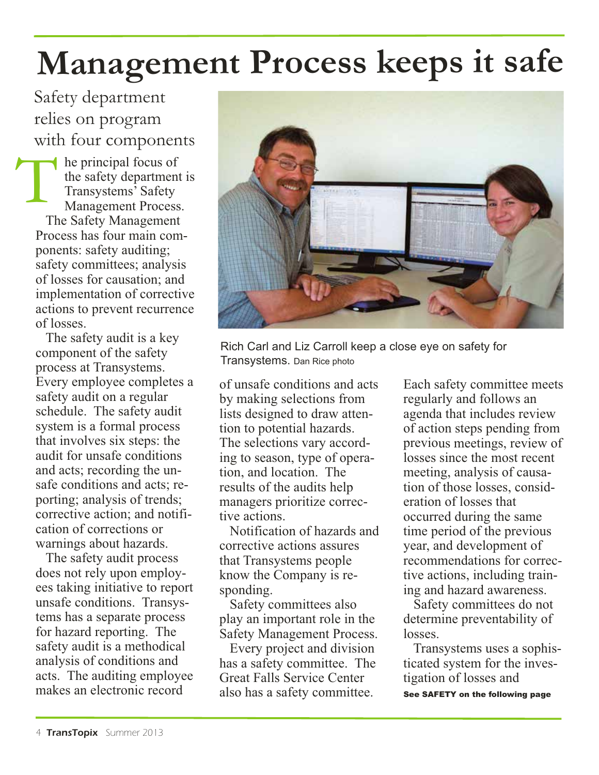# **Management Process keeps it safe**

relies on program with four components

he principal focus of the safety department is Transystems' Safety Management Process. The Safety Management Process has four main components: safety auditing; safety committees; analysis of losses for causation; and implementation of corrective actions to prevent recurrence of losses. T

The safety audit is a key component of the safety process at Transystems. Every employee completes a safety audit on a regular schedule. The safety audit system is a formal process that involves six steps: the audit for unsafe conditions and acts; recording the unsafe conditions and acts; reporting; analysis of trends; corrective action; and notification of corrections or warnings about hazards.

The safety audit process does not rely upon employees taking initiative to report unsafe conditions. Transystems has a separate process for hazard reporting. The safety audit is a methodical analysis of conditions and acts. The auditing employee makes an electronic record



Rich Carl and Liz Carroll keep a close eye on safety for Transystems. Dan Rice photo

of unsafe conditions and acts by making selections from lists designed to draw attention to potential hazards. The selections vary according to season, type of operation, and location. The results of the audits help managers prioritize corrective actions.

Notification of hazards and corrective actions assures that Transystems people know the Company is responding.

Safety committees also play an important role in the Safety Management Process.

Every project and division has a safety committee. The Great Falls Service Center also has a safety committee.

Each safety committee meets regularly and follows an agenda that includes review of action steps pending from previous meetings, review of losses since the most recent meeting, analysis of causation of those losses, consideration of losses that occurred during the same time period of the previous year, and development of recommendations for corrective actions, including training and hazard awareness.

Safety committees do not determine preventability of losses.

Transystems uses a sophisticated system for the investigation of losses and See SAFETY on the following page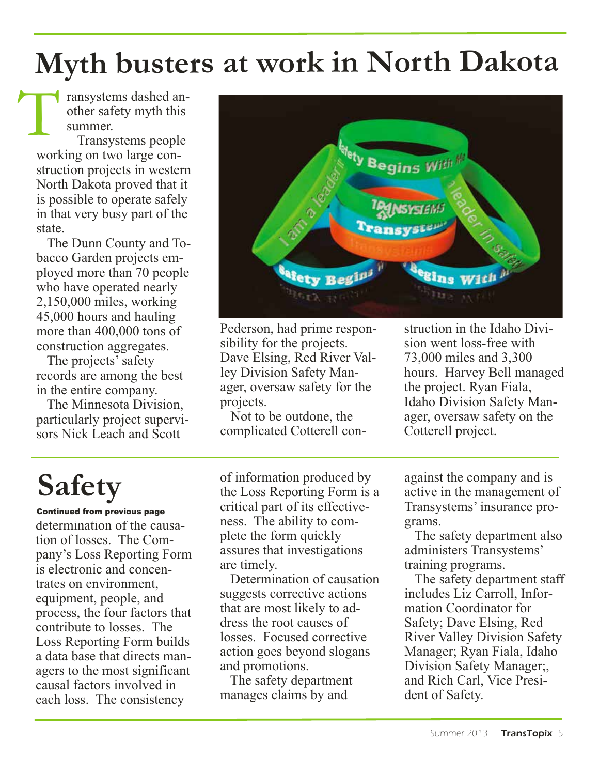## **Myth busters at work in North Dakota**

ransystems dashed another safety myth this summer.

Transystems people working on two large construction projects in western North Dakota proved that it is possible to operate safely in that very busy part of the state. T

The Dunn County and Tobacco Garden projects employed more than 70 people who have operated nearly 2,150,000 miles, working 45,000 hours and hauling more than 400,000 tons of construction aggregates.

The projects' safety records are among the best in the entire company.

The Minnesota Division, particularly project supervisors Nick Leach and Scott



Pederson, had prime responsibility for the projects. Dave Elsing, Red River Valley Division Safety Manager, oversaw safety for the projects.

Not to be outdone, the complicated Cotterell con-

struction in the Idaho Division went loss-free with 73,000 miles and 3,300 hours. Harvey Bell managed the project. Ryan Fiala, Idaho Division Safety Manager, oversaw safety on the Cotterell project.

# **Safety**

determination of the causation of losses. The Company's Loss Reporting Form is electronic and concentrates on environment, equipment, people, and process, the four factors that contribute to losses. The Loss Reporting Form builds a data base that directs managers to the most significant causal factors involved in each loss. The consistency Continued from previous page

of information produced by the Loss Reporting Form is a critical part of its effectiveness. The ability to complete the form quickly assures that investigations are timely.

Determination of causation suggests corrective actions that are most likely to address the root causes of losses. Focused corrective action goes beyond slogans and promotions.

The safety department manages claims by and

against the company and is active in the management of Transystems' insurance programs.

The safety department also administers Transystems' training programs.

The safety department staff includes Liz Carroll, Information Coordinator for Safety; Dave Elsing, Red River Valley Division Safety Manager; Ryan Fiala, Idaho Division Safety Manager;, and Rich Carl, Vice President of Safety.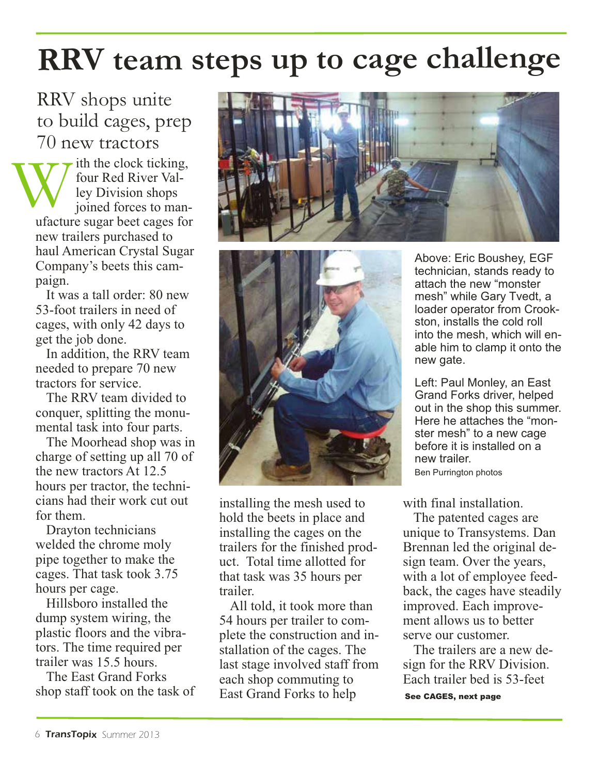## **RRV team steps up to cage challenge**

RRV shops unite to build cages, prep 70 new tractors

ith the clock ticking. four Red River Valley Division shops joined forces to manufacture sugar beet cages for new trailers purchased to haul American Crystal Sugar Company's beets this campaign. W

It was a tall order: 80 new 53-foot trailers in need of cages, with only 42 days to get the job done.

In addition, the RRV team needed to prepare 70 new tractors for service.

The RRV team divided to conquer, splitting the monumental task into four parts.

The Moorhead shop was in charge of setting up all 70 of the new tractors At 12.5 hours per tractor, the technicians had their work cut out for them.

Drayton technicians welded the chrome moly pipe together to make the cages. That task took 3.75 hours per cage.

Hillsboro installed the dump system wiring, the plastic floors and the vibrators. The time required per trailer was 15.5 hours.

The East Grand Forks shop staff took on the task of





installing the mesh used to hold the beets in place and installing the cages on the trailers for the finished product. Total time allotted for that task was 35 hours per trailer.

All told, it took more than 54 hours per trailer to complete the construction and installation of the cages. The last stage involved staff from each shop commuting to East Grand Forks to help

Above: Eric Boushey, EGF technician, stands ready to attach the new "monster mesh" while Gary Tvedt, a loader operator from Crookston, installs the cold roll into the mesh, which will enable him to clamp it onto the new gate.

Left: Paul Monley, an East Grand Forks driver, helped out in the shop this summer. Here he attaches the "monster mesh" to a new cage before it is installed on a new trailer. Ben Purrington photos

with final installation.

The patented cages are unique to Transystems. Dan Brennan led the original design team. Over the years, with a lot of employee feedback, the cages have steadily improved. Each improvement allows us to better serve our customer.

The trailers are a new design for the RRV Division. Each trailer bed is 53-feet

See CAGES, next page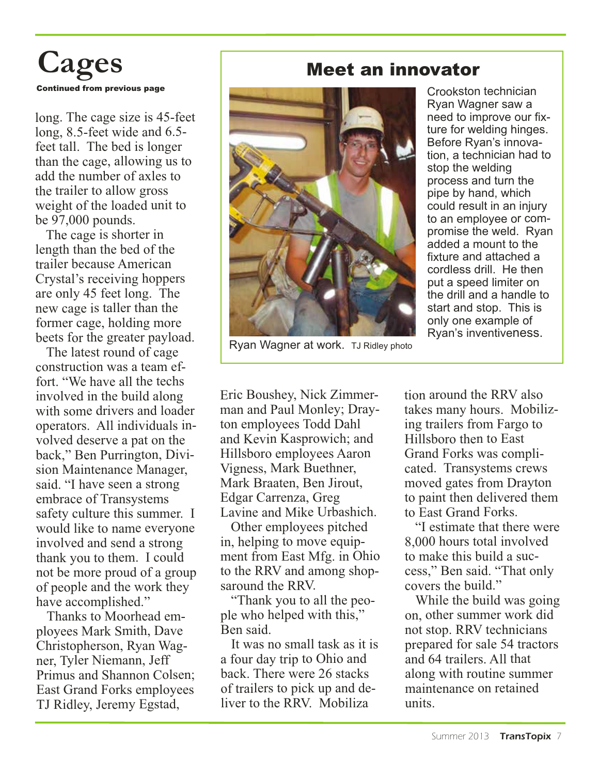

long. The cage size is 45-feet long, 8.5-feet wide and 6.5 feet tall. The bed is longer than the cage, allowing us to add the number of axles to the trailer to allow gross weight of the loaded unit to be 97,000 pounds.

The cage is shorter in length than the bed of the trailer because American Crystal's receiving hoppers are only 45 feet long. The new cage is taller than the former cage, holding more beets for the greater payload.

The latest round of cage construction was <sup>a</sup> team effort. "We have all the techs involved in the build along with some drivers and loader operators. All individuals involved deserve <sup>a</sup> pa<sup>t</sup> on the back," Ben Purrington, Division Maintenance Manager, said. "I have seen <sup>a</sup> strong embrace of Transystems safety culture this summer. I would like to name everyone involved and send <sup>a</sup> strong thank you to them. I could not be more proud of <sup>a</sup> group of people and the work they have accomplished."

Thanks to Moorhead employees Mark Smith, Dave Christopherson, Ryan Wagner, Tyler Niemann, Jeff Primus and Shannon Colsen; East Grand Forks employees TJ Ridley, Jeremy Egstad,

#### Meet an innovator



Ryan Wagner at work. TJ Ridley photo

Eric Boushey, Nick Zimmerman and Paul Monley; Drayton employees Todd Dahl and Kevin Kasprowich; and Hillsboro employees Aaron Vigness, Mark Buethner, Mark Braaten, Ben Jirout, Edgar Carrenza, Greg Lavine and Mike Urbashich.

Other employees pitched in, helping to move equipment from East Mfg. in Ohio to the RRV and among shopsaround the RRV.

"Thank you to all the people who helped with this," Ben said.

It was no small task as it is <sup>a</sup> four day trip to Ohio and back. There were 26 stacks of trailers to pick up and deliver to the RRV. Mobiliza

tion around the RRV also takes many hours. Mobilizing trailers from Fargo to Hillsboro then to East Grand Forks was complicated. Transystems crews moved gates from Drayton to paint then delivered them to East Grand Forks.

Crookston technician Ryan Wagner saw <sup>a</sup> need to improve our fixture for welding hinges. Before Ryan's innovation, <sup>a</sup> technician had to

stop the welding process and turn the pipe by hand, which could result in an injury to an employee or compromise the weld. Ryan added a mount to the fixture and attached a cordless drill. He then put <sup>a</sup> speed limiter on the drill and a handle to start and stop. This is only one example of Ryan's inventiveness.

"I estimate that there were 8,000 hours total involved to make this build <sup>a</sup> success," Ben said. "That only covers the build."

While the build was going on, other summer work did not stop. RRV technicians prepared for sale 54 tractors and 64 trailers. All that along with routine summer maintenance on retained units.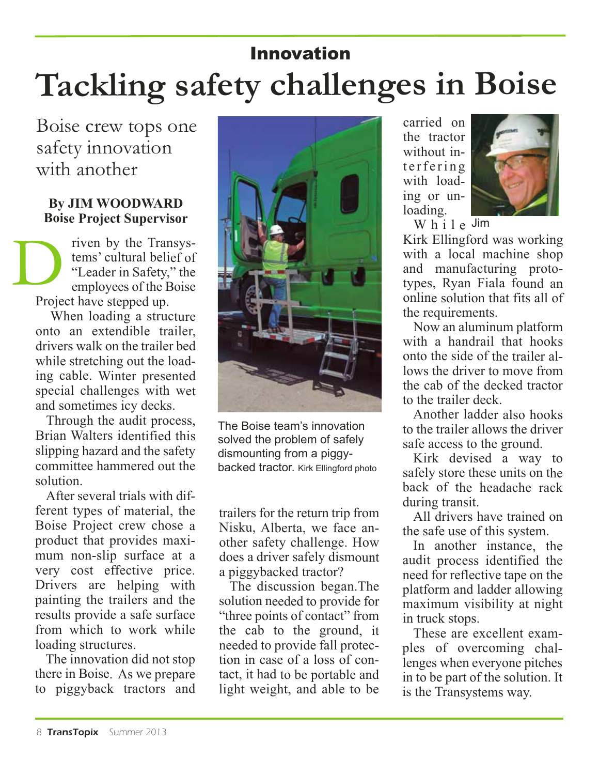### **Tackling safety challenges in Boise** Innovation

Boise crew tops one safety innovation with another

#### **By JIM WOODWARD Boise Project Supervisor**

riven by the Transystems' cultural belief of "Leader in Safety," the employees of the Boise Project have stepped up. D<br>Prais

When loading <sup>a</sup> structure onto an extendible trailer, drivers walk on the trailer bed while stretching out the loading cable. Winter presented special challenges with wet and sometimes icy decks.

Through the audit process, Brian Walters identified this slipping hazard and the safety committee hammered out the solution.

After several trials with different types of material, the Boise Project crew chose a product that provides maximum non-slip surface at a very cost effective price. Drivers are helping with painting the trailers and the results provide <sup>a</sup> safe surface from which to work while loading structures.

The innovation did not stop there in Boise. As we prepare to piggyback tractors and



The Boise team's innovation solved the problem of safely dismounting from a piggybacked tractor. Kirk Ellingford photo

trailers for the return trip from Nisku, Alberta, we face another safety challenge. How does <sup>a</sup> driver safely dismount <sup>a</sup> piggybacked tractor?

The discussion began.The solution needed to provide for "three points of contact" from the cab to the ground, it needed to provide fall protection in case of <sup>a</sup> loss of contact, it had to be portable and light weight, and able to be

carried on the tractor without interfering with loading or unloading.



W h i l <sup>e</sup> Jim

Kirk Ellingford was working with a local machine shop and manufacturing prototypes, Ryan Fiala found an online solution that fits all of the requirements.

Now an aluminum platform with a handrail that hooks onto the side of the trailer allows the driver to move from the cab of the decked tractor to the trailer deck.

Another ladder also hooks to the trailer allows the driver safe access to the ground.

Kirk devised a way to safely store these units on the back of the headache rack during transit.

All drivers have trained on the safe use of this system.

In another instance, the audit process identified the need for reflective tape on the platform and ladder allowing maximum visibility at night in truck stops.

These are excellent examples of overcoming challenges when everyone pitches in to be par<sup>t</sup> of the solution. It is the Transystems way.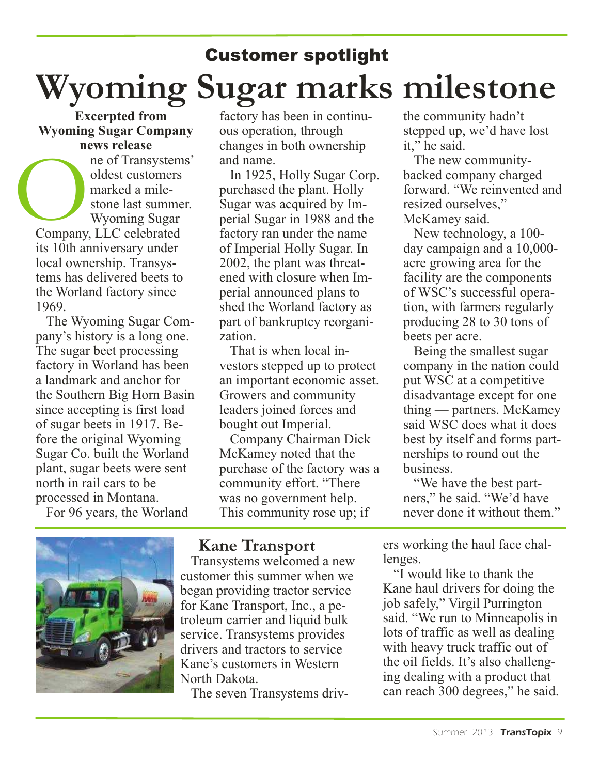#### Customer spotlight **Wyoming Sugar marks milestone**

**Excerpted from Wyoming Sugar Company news release**

ne of Transystems' oldest customers marked a milestone last summer. Wyoming Sugar Company, LLC celebrated its 10th anniversary under local ownership. Transystems has delivered beets to the Worland factory since 1969. Company

The Wyoming Sugar Company's history is a long one. The sugar beet processing factory in Worland has been a landmark and anchor for the Southern Big Horn Basin since accepting is first load of sugar beets in 1917. Before the original Wyoming Sugar Co. built the Worland plant, sugar beets were sent north in rail cars to be processed in Montana.

For 96 years, the Worland

factory has been in continuous operation, through changes in both ownership and name.

In 1925, Holly Sugar Corp. purchased the plant. Holly Sugar was acquired by Imperial Sugar in 1988 and the factory ran under the name of Imperial Holly Sugar. In 2002, the plant was threatened with closure when Imperial announced plans to shed the Worland factory as part of bankruptcy reorganization.

That is when local investors stepped up to protect an important economic asset. Growers and community leaders joined forces and bought out Imperial.

Company Chairman Dick McKamey noted that the purchase of the factory was a community effort. "There was no government help. This community rose up; if

the community hadn't stepped up, we'd have lost it," he said.

The new communitybacked company charged forward. "We reinvented and resized ourselves," McKamey said.

New technology, a 100 day campaign and a 10,000 acre growing area for the facility are the components of WSC's successful operation, with farmers regularly producing 28 to 30 tons of beets per acre.

Being the smallest sugar company in the nation could put WSC at a competitive disadvantage except for one thing — partners. McKamey said WSC does what it does best by itself and forms partnerships to round out the business.

"We have the best partners," he said. "We'd have never done it without them."



#### **Kane Transport**

Transystems welcomed a new customer this summer when we began providing tractor service for Kane Transport, Inc., a petroleum carrier and liquid bulk service. Transystems provides drivers and tractors to service Kane's customers in Western North Dakota.

The seven Transystems driv-

ers working the haul face challenges.

"I would like to thank the Kane haul drivers for doing the job safely," Virgil Purrington said. "We run to Minneapolis in lots of traffic as well as dealing with heavy truck traffic out of the oil fields. It's also challenging dealing with a product that can reach 300 degrees," he said.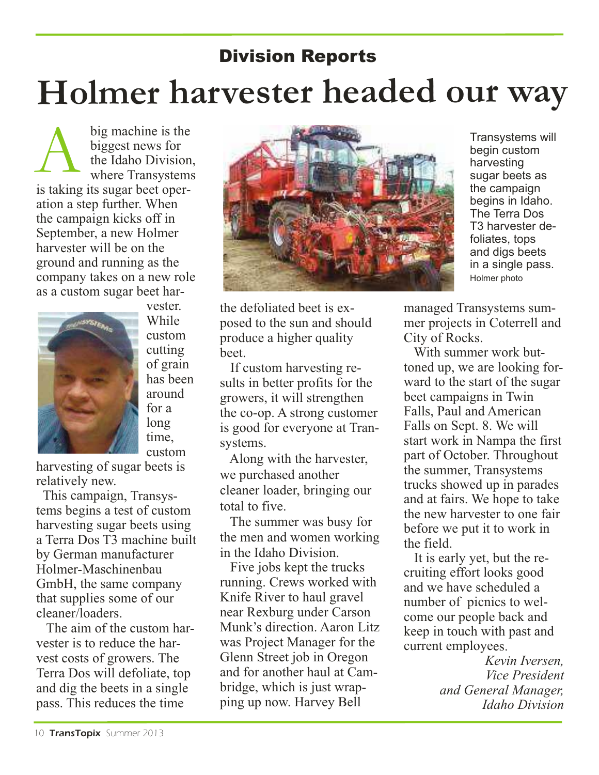## **Holmer harvester headed our way** Division Reports

big machine is the biggest news for the Idaho Division, where Transystems is taking its sugar beet operation a step further. When the campaign kicks off in September, a new Holmer harvester will be on the ground and running as the company takes on a new role as a custom sugar beet har- $\boldsymbol{\mathrm{A}}$ 



While custom cutting of grain has been around for a long time, custom

vester.

harvesting of sugar beets is relatively new.

This campaign, Transystems begins a test of custom harvesting sugar beets using a Terra Dos T3 machine built by German manufacturer Holmer-Maschinenbau GmbH, the same company that supplies some of our cleaner/loaders.

The aim of the custom harvester is to reduce the harvest costs of growers. The Terra Dos will defoliate, top and dig the beets in a single pass. This reduces the time



the defoliated beet is exposed to the sun and should produce a higher quality beet.

If custom harvesting results in better profits for the growers, it will strengthen the co-op. A strong customer is good for everyone at Transystems.

Along with the harvester, we purchased another cleaner loader, bringing our total to five.

The summer was busy for the men and women working in the Idaho Division.

Five jobs kept the trucks running. Crews worked with Knife River to haul gravel near Rexburg under Carson Munk's direction. Aaron Litz was Project Manager for the Glenn Street job in Oregon and for another haul at Cambridge, which is just wrapping up now. Harvey Bell

Transystems will begin custom harvesting sugar beets as the campaign begins in Idaho. The Terra Dos T3 harvester defoliates, tops and digs beets in a single pass. Holmer photo

managed Transystems summer projects in Coterrell and City of Rocks.

With summer work buttoned up, we are looking forward to the start of the sugar beet campaigns in Twin Falls, Paul and American Falls on Sept. 8. We will start work in Nampa the first part of October. Throughout the summer, Transystems trucks showed up in parades and at fairs. We hope to take the new harvester to one fair before we put it to work in the field.

It is early yet, but the recruiting effort looks good and we have scheduled a number of picnics to welcome our people back and keep in touch with past and current employees.

> *Kevin Iversen, Vice President and General Manager, Idaho Division*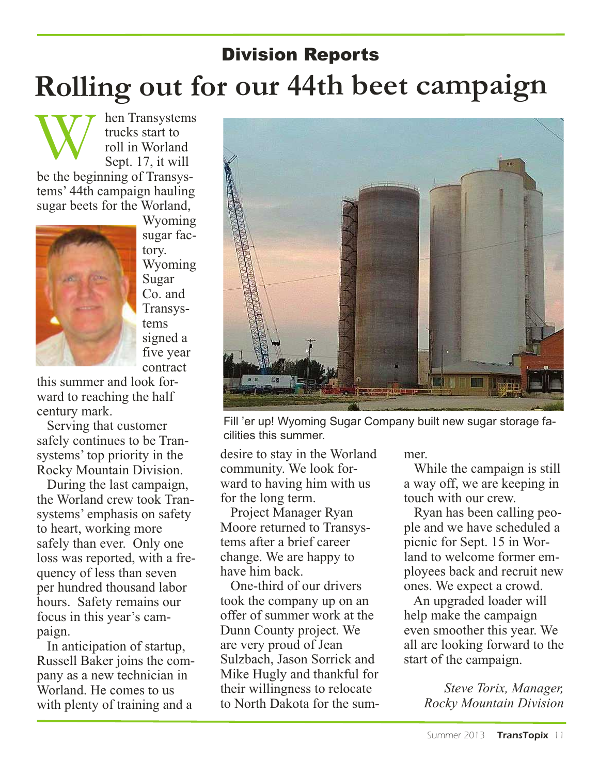#### Division Reports **Rolling out for our 44th beet campaign**

hen Transystems trucks start to roll in Worland Sept. 17, it will be the beginning of Transystems' 44th campaign hauling sugar beets for the Worland, W



Wyoming sugar factory. Wyoming Sugar Co. and Transystems signed a five year contract

this summer and look forward to reaching the half century mark.

Serving that customer safely continues to be Transystems' top priority in the Rocky Mountain Division.

During the last campaign, the Worland crew took Transystems' emphasis on safety to heart, working more safely than ever. Only one loss was reported, with a frequency of less than seven per hundred thousand labor hours. Safety remains our focus in this year's campaign.

In anticipation of startup, Russell Baker joins the company as a new technician in Worland. He comes to us with plenty of training and a



Fill 'er up! Wyoming Sugar Company built new sugar storage facilities this summer.

desire to stay in the Worland community. We look forward to having him with us for the long term.

Project Manager Ryan Moore returned to Transystems after a brief career change. We are happy to have him back.

One-third of our drivers took the company up on an offer of summer work at the Dunn County project. We are very proud of Jean Sulzbach, Jason Sorrick and Mike Hugly and thankful for their willingness to relocate to North Dakota for the summer.

While the campaign is still a way off, we are keeping in touch with our crew.

Ryan has been calling people and we have scheduled a picnic for Sept. 15 in Worland to welcome former employees back and recruit new ones. We expect a crowd.

An upgraded loader will help make the campaign even smoother this year. We all are looking forward to the start of the campaign.

> *Steve Torix, Manager, Rocky Mountain Division*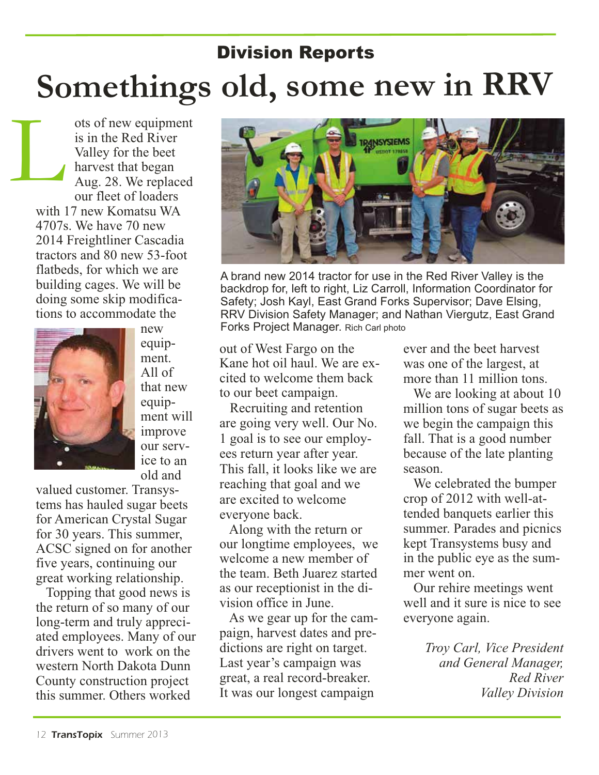## Division Reports **Somethings old, some new in RRV**

ots of new equipment is in the Red River Valley for the beet harvest that began Aug. 28. We replaced our fleet of loaders with 17 new Komatsu WA 4707s. We have 70 new 2014 Freightliner Cascadia tractors and 80 new 53-foot flatbeds, for which we are building cages. We will be doing some skip modifications to accommodate the L



new equipment. All of that new equipment will improve our service to an old and

valued customer. Transystems has hauled sugar beets for American Crystal Sugar for 30 years. This summer, ACSC signed on for another five years, continuing our great working relationship.

Topping that good news is the return of so many of our long-term and truly appreciated employees. Many of our drivers went to work on the western North Dakota Dunn County construction project this summer. Others worked



A brand new 2014 tractor for use in the Red River Valley is the backdrop for, left to right, Liz Carroll, Information Coordinator for Safety; Josh Kayl, East Grand Forks Supervisor; Dave Elsing, RRV Division Safety Manager; and Nathan Viergutz, East Grand Forks Project Manager. Rich Carl photo

out of West Fargo on the Kane hot oil haul. We are excited to welcome them back to our beet campaign.

Recruiting and retention are going very well. Our No. 1 goal is to see our employees return year after year. This fall, it looks like we are reaching that goal and we are excited to welcome everyone back.

Along with the return or our longtime employees, we welcome a new member of the team. Beth Juarez started as our receptionist in the division office in June.

As we gear up for the campaign, harvest dates and predictions are right on target. Last year's campaign was great, a real record-breaker. It was our longest campaign

ever and the beet harvest was one of the largest, at more than 11 million tons.

We are looking at about 10 million tons of sugar beets as we begin the campaign this fall. That is a good number because of the late planting season.

We celebrated the bumper crop of 2012 with well-attended banquets earlier this summer. Parades and picnics kept Transystems busy and in the public eye as the summer went on.

Our rehire meetings went well and it sure is nice to see everyone again.

> *Troy Carl, Vice President and General Manager, Red River Valley Division*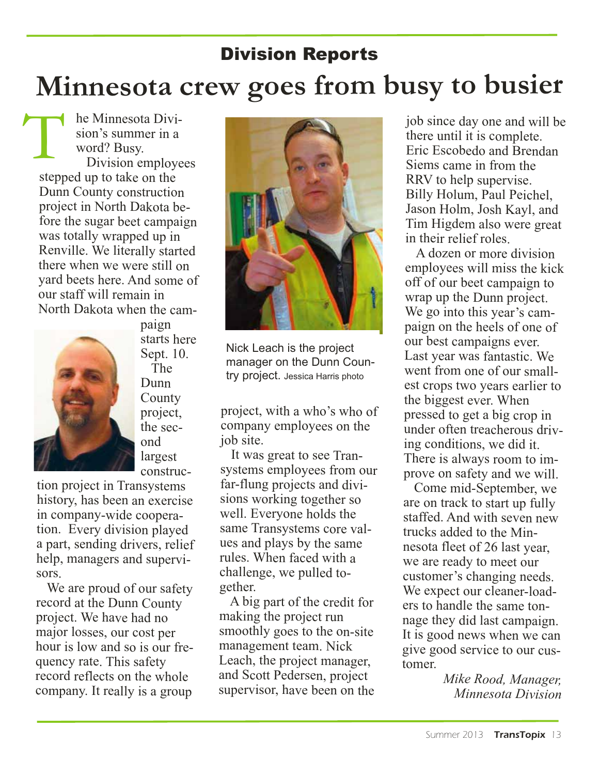#### Division Reports **Minnesota crew goes from busy to busier**

he Minnesota Division's summer in <sup>a</sup> word? Busy. Division employees stepped up to take on the Dunn County construction project in North Dakota before the sugar beet campaign was totally wrapped up in Renville. We literally started there when we were still on yard beets here. And some of our staff will remain in North Dakota when the cam-T



paign starts here Sept. 10. The Dunn County project, the second largest construc-

tion project in Transystems history, has been an exercise in company-wide cooperation. Every division <sup>p</sup>layed <sup>a</sup> part, sending drivers, relief help, managers and supervisors.

We are proud of our safety record at the Dunn County project. We have had no major losses, our cost per hour is low and so is our frequency rate. This safety record reflects on the whole company. It really is <sup>a</sup> group



Nick Leach is the project manager on the Dunn Country project. Jessica Harris photo

project, with <sup>a</sup> who's who of company employees on the job site.

It was great to see Transystems employees from our far-flung projects and divisions working together so well. Everyone holds the same Transystems core values and plays by the same rules. When faced with <sup>a</sup> challenge, we pulled together.

A big part of the credit for making the project run smoothly goes to the on-site management team. Nick Leach, the project manager, and Scott Pedersen, project supervisor, have been on the job since day one and will be there until it is complete. Eric Escobedo and Brendan Siems came in from the RRV to help supervise. Billy Holum, Paul Peichel, Jason Holm, Josh Kayl, and Tim Higdem also were great in their relief roles.

A dozen or more division employees will miss the kick off of our beet campaign to wrap up the Dunn project. We go into this year's campaign on the heels of one of our best campaigns ever. Last year was fantastic. We went from one of our smallest crops two years earlier to the biggest ever. When pressed to get <sup>a</sup> big crop in under often treacherous driving conditions, we did it. There is always room to improve on safety and we will.

Come mid-September, we are on track to start up fully staffed. And with seven new trucks added to the Minnesota fleet of 26 last year, we are ready to meet our customer's changing needs. We expect our cleaner-loaders to handle the same tonnage they did last campaign. It is good news when we can give good service to our customer.

> *Mike Rood, Manager, Minnesota Division*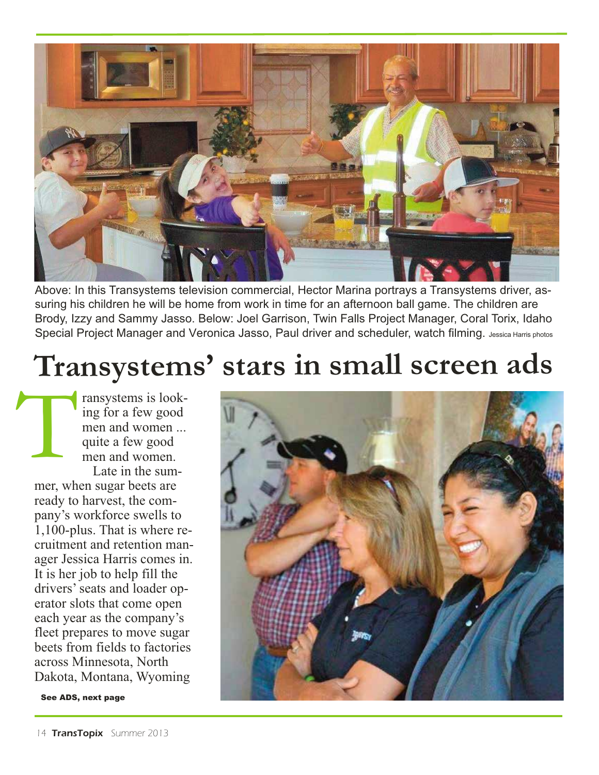

Above: In this Transystems television commercial, Hector Marina portrays a Transystems driver, assuring his children he will be home from work in time for an afternoon ball game. The children are Brody, Izzy and Sammy Jasso. Below: Joel Garrison, Twin Falls Project Manager, Coral Torix, Idaho Special Project Manager and Veronica Jasso, Paul driver and scheduler, watch filming. Jessica Harris photos

## **Transystems' stars in small screen ads**

ransystems is looking for a few good men and women ... quite a few good men and women. Late in the summer, when sugar beets are T

ready to harvest, the company's workforce swells to 1,100-plus. That is where recruitment and retention manager Jessica Harris comes in. It is her job to help fill the drivers'seats and loader operator slots that come open each year as the company's fleet prepares to move sugar beets from fields to factories across Minnesota, North Dakota, Montana, Wyoming

See ADS, next page

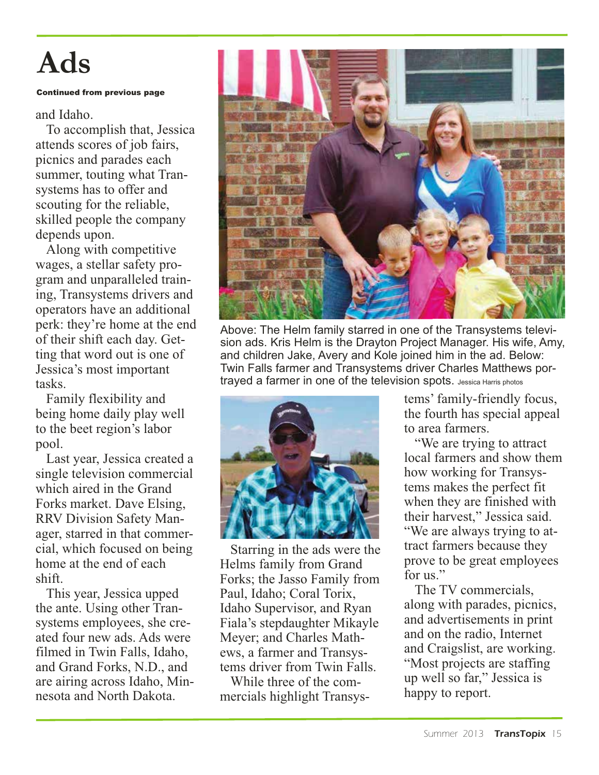# **Ads**

#### Continued from previous page

#### and Idaho.

To accomplish that, Jessica attends scores of job fairs, picnics and parades each summer, touting what Transystems has to offer and scouting for the reliable, skilled people the company depends upon.

Along with competitive wages, a stellar safety program and unparalleled training, Transystems drivers and operators have an additional perk: they're home at the end of their shift each day. Getting that word out is one of Jessica's most important tasks.

Family flexibility and being home daily play well to the beet region's labor pool.

Last year, Jessica created a single television commercial which aired in the Grand Forks market. Dave Elsing, RRV Division Safety Manager, starred in that commercial, which focused on being home at the end of each shift.

This year, Jessica upped the ante. Using other Transystems employees, she created four new ads. Ads were filmed in Twin Falls, Idaho, and Grand Forks, N.D., and are airing across Idaho, Minnesota and North Dakota.



Above: The Helm family starred in one of the Transystems television ads. Kris Helm is the Drayton Project Manager. His wife, Amy, and children Jake, Avery and Kole joined him in the ad. Below: Twin Falls farmer and Transystems driver Charles Matthews portrayed a farmer in one of the television spots. Jessica Harris photos



Starring in the ads were the Helms family from Grand Forks; the Jasso Family from Paul, Idaho; Coral Torix, Idaho Supervisor, and Ryan Fiala's stepdaughter Mikayle Meyer; and Charles Mathews, a farmer and Transystems driver from Twin Falls.

While three of the commercials highlight Transys-

tems' family-friendly focus, the fourth has special appeal to area farmers.

"We are trying to attract local farmers and show them how working for Transystems makes the perfect fit when they are finished with their harvest," Jessica said. "We are always trying to attract farmers because they prove to be great employees for us."

The TV commercials, along with parades, picnics, and advertisements in print and on the radio, Internet and Craigslist, are working. "Most projects are staffing up well so far," Jessica is happy to report.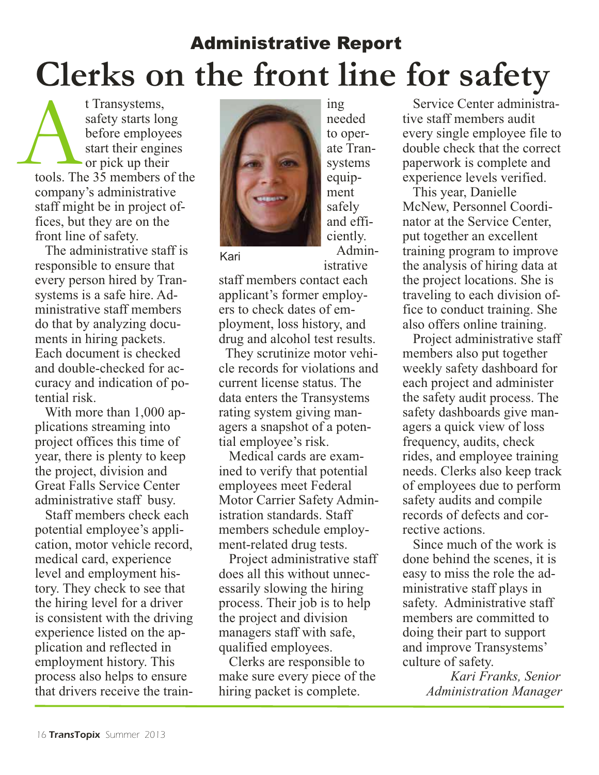## Administrative Report **Clerks on the front line for safety**

t Transystems, safety starts long before employees start their engines or pick up their tools. The 35 members of the company's administrative staff might be in project offices, but they are on the front line of safety.  $\sum_{\text{tools. Th}}$ 

The administrative staff is responsible to ensure that every person hired by Transystems is a safe hire. Administrative staff members do that by analyzing documents in hiring packets. Each document is checked and double-checked for accuracy and indication of potential risk.

With more than 1,000 applications streaming into project offices this time of year, there is plenty to keep the project, division and Great Falls Service Center administrative staff busy.

Staff members check each potential employee's application, motor vehicle record, medical card, experience level and employment history. They check to see that the hiring level for a driver is consistent with the driving experience listed on the application and reflected in employment history. This process also helps to ensure that drivers receive the train-



needed to operate Transystems equipment safely and efficiently. Admin-

istrative

ing

Kari

staff members contact each applicant's former employers to check dates of employment, loss history, and drug and alcohol test results.

They scrutinize motor vehicle records for violations and current license status. The data enters the Transystems rating system giving managers a snapshot of a potential employee's risk.

Medical cards are examined to verify that potential employees meet Federal Motor Carrier Safety Administration standards. Staff members schedule employment-related drug tests.

Project administrative staff does all this without unnecessarily slowing the hiring process. Their job is to help the project and division managers staff with safe, qualified employees.

Clerks are responsible to make sure every piece of the hiring packet is complete.

Service Center administrative staff members audit every single employee file to double check that the correct paperwork is complete and experience levels verified.

This year, Danielle McNew, Personnel Coordinator at the Service Center, put together an excellent training program to improve the analysis of hiring data at the project locations. She is traveling to each division office to conduct training. She also offers online training.

Project administrative staff members also put together weekly safety dashboard for each project and administer the safety audit process. The safety dashboards give managers a quick view of loss frequency, audits, check rides, and employee training needs. Clerks also keep track of employees due to perform safety audits and compile records of defects and corrective actions.

Since much of the work is done behind the scenes, it is easy to miss the role the administrative staff plays in safety. Administrative staff members are committed to doing their part to support and improve Transystems' culture of safety.

> *Kari Franks, Senior Administration Manager*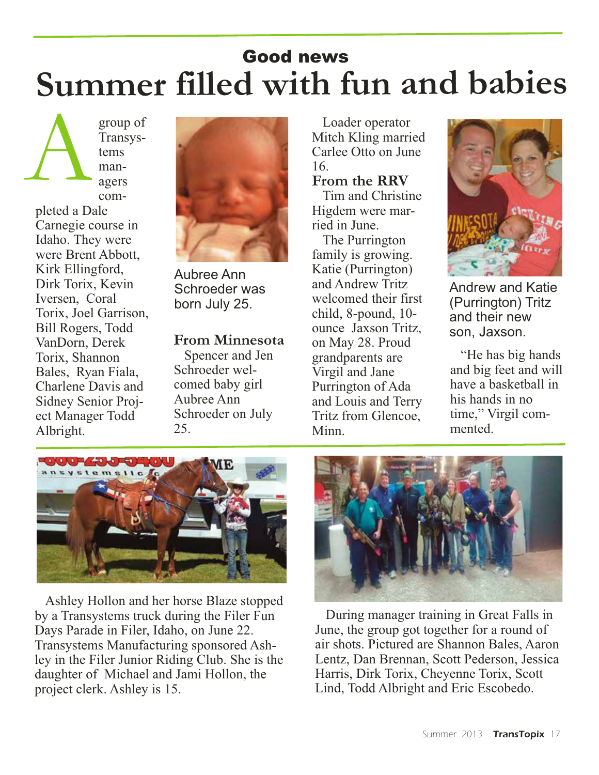#### **Summer filled with fun and babies** Good news

group of Transystems managers completed a Dale Carnegie course in Idaho. They were were Brent Abbott, Kirk Ellingford, Dirk Torix, Kevin Iversen, Coral A

Torix, Joel Garrison, Bill Rogers, Todd VanDorn, Derek Torix, Shannon Bales, Ryan Fiala, Charlene Davis and Sidney Senior Project Manager Todd

Albright.



Aubree Ann Schroeder was born July 25.

**From Minnesota**  Spencer and Jen Schroeder welcomed baby girl Aubree Ann Schroeder on July 25.

Loader operator Mitch Kling married Carlee Otto on June 16.

#### **From the RRV**

Tim and Christine Higdem were married in June.

The Purrington family is growing. Katie (Purrington) and Andrew Tritz welcomed their first child, 8-pound, 10 ounce Jaxson Tritz, on May 28. Proud grandparents are Virgil and Jane Purrington of Ada and Louis and Terry Tritz from Glencoe, Minn.



Andrew and Katie (Purrington) Tritz and their new son, Jaxson.

"He has big hands and big feet and will have a basketball in his hands in no time," Virgil commented.



Ashley Hollon and her horse Blaze stopped by a Transystems truck during the Filer Fun Days Parade in Filer, Idaho, on June 22. Transystems Manufacturing sponsored Ashley in the Filer Junior Riding Club. She is the daughter of Michael and Jami Hollon, the project clerk. Ashley is 15.



During manager training in Great Falls in June, the group got together for a round of air shots. Pictured are Shannon Bales, Aaron Lentz, Dan Brennan, Scott Pederson, Jessica Harris, Dirk Torix, Cheyenne Torix, Scott Lind, Todd Albright and Eric Escobedo.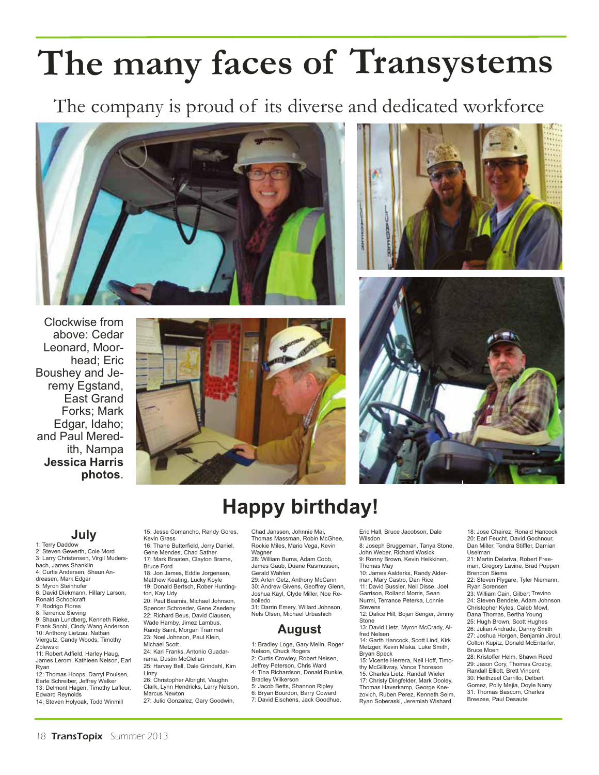# **The many faces of Transystems**

The company is proud of its diverse and dedicated workforce





Clockwise from above: Cedar Leonard, Moorhead; Eric Boushey and Jeremy Egstand, East Grand Forks; Mark Edgar, Idaho; and Paul Meredith, Nampa **Jessica Harris photos**.





#### **Happy birthday!**

**July** 1: Terry Daddow

- 2: Steven Gewerth, Cole Mord
- 3: Larry Christensen, Virgil Muders-

bach, James Shanklin

- 4: Curtis Andersen, Shaun Andreasen, Mark Edgar
- 5: Myron Steinhofer
- 6: David Diekmann, Hillary Larson,
- Ronald Schoolcraft
- 7: Rodrigo Flores
- 8: Terrence Sieving

9: Shaun Lundberg, Kenneth Rieke, Frank Snobl, Cindy Wang Anderson 10: Anthony Lietzau, Nathan Viergutz, Candy Woods, Timothy

Zblewski 11: Robert Adfield, Harley Haug,

James Lerom, Kathleen Nelson, Earl Ryan

12: Thomas Hoops, Darryl Poulsen, Earle Schreiber, Jeffrey Walker

13: Delmont Hagen, Timothy Lafleur,

Edward Reynolds 14: Steven Holyoak, Todd Winmill 15: Jesse Comancho, Randy Gores, Kevin Grass

16: Thane Butterfield, Jerry Daniel, Gene Mendes, Chad Sather 17: Mark Braaten, Clayton Brame,

Bruce Ford 18: Jon James, Eddie Jorgensen, Matthew Keating, Lucky Koyle 19: Donald Bertsch, Rober Hunting-

ton, Kay Udy

20: Paul Beamis, Michael Johnson, Spencer Schroeder, Gene Zsedeny

22: Richard Beus, David Clausen, Wade Hamby, Jimez Lambus,

Randy Saint, Morgan Trammel

23: Noel Johnson, Paul Klein,

Michael Scott 24: Kari Franks, Antonio Guadar-

rama, Dustin McClellan 25: Harvey Bell, Dale Grindahl, Kim

Linzy 26: Christopher Albright, Vaughn

Clark, Lynn Hendricks, Larry Nelson, Marcus Newton

27: Julio Gonzalez, Gary Goodwin,

Chad Janssen, Johnnie Mai, Thomas Massman, Robin McGhee, Rockie Miles, Mario Vega, Kevin Wagner 28: William Burns, Adam Cobb James Gaub, Duane Rasmussen,

Gerald Wahlen

29: Arlen Getz, Anthony McCann 30: Andrew Givens, Geoffrey Glenn, Joshua Kayl, Clyde Miller, Noe Re-

bolledo 31: Darrin Emery, Willard Johnson, Nels Olsen, Michael Urbashich

#### **August**

1: Bradley Loge, Gary Melin, Roger Nelson, Chuck Rogers 2: Curtis Crowley, Robert Neisen, Jeffrey Peterson, Chris Ward 4: Tina Richardson, Donald Runkle, Bradley Wilkerson 5: Jacob Betts, Shannon Ripley 6: Bryan Bourdon, Barry Coward 7: David Eischens, Jack Goodhue,

Eric Hall, Bruce Jacobson, Dale Wilsdon

8: Joseph Bruggeman, Tanya Stone, John Weber, Richard Wosick 9: Ronny Brown, Kevin Heikkinen, Thomas May

10: James Aalderks, Randy Alder-

man, Mary Castro, Dan Rice 11: David Bussler, Neil Disse, Joel Garrison, Rolland Morris, Sean Nurmi, Terrance Peterka, Lonnie Stevens

12: Dalice Hill, Bojan Senger, Jimmy Stone 13: David Lietz, Myron McCrady, Al-

fred Nelsen 14: Garth Hancock, Scott Lind, Kirk Metzger, Kevin Miska, Luke Smith,

Bryan Speck 15: Vicente Herrera, Neil Hoff, Timothy McGillivray, Vance Thoreson 15: Charles Lietz, Randall Wieler

17: Christy Dingfelder, Mark Dooley, Thomas Haverkamp, George Knezovich, Ruben Perez, Kenneth Seim, Ryan Soberaski, Jeremiah Wishard

18: Jose Chairez, Ronald Hancock 20: Earl Feucht, David Gochnour, Dan Miller, Tondra Stiffler, Damian Uselman

21: Martin Delariva, Robert Freeman, Gregory Lavine, Brad Poppen Brendon Siems

22: Steven Flygare, Tyler Niemann, Ryan Sorensen

23: William Cain, Gilbert Trevino 24: Steven Bendele, Adam Johnson,

Christopher Kyles, Caleb Mowl, Dana Thomas, Bertha Young

25: Hugh Brown, Scott Hughes

26: Julian Andrade, Danny Smith 27: Joshua Horgen, Benjamin Jirout, Colton Kupitz, Donald McEntarfer, Bruce Moen

28: Kristoffer Helm, Shawn Reed 29: Jason Cory, Thomas Crosby, Randall Elliott, Brett Vincent 30: Heithzeel Carrillo, Delbert Gomez, Polly Mejia, Doyle Narry 31: Thomas Bascom, Charles Breezee, Paul Desautel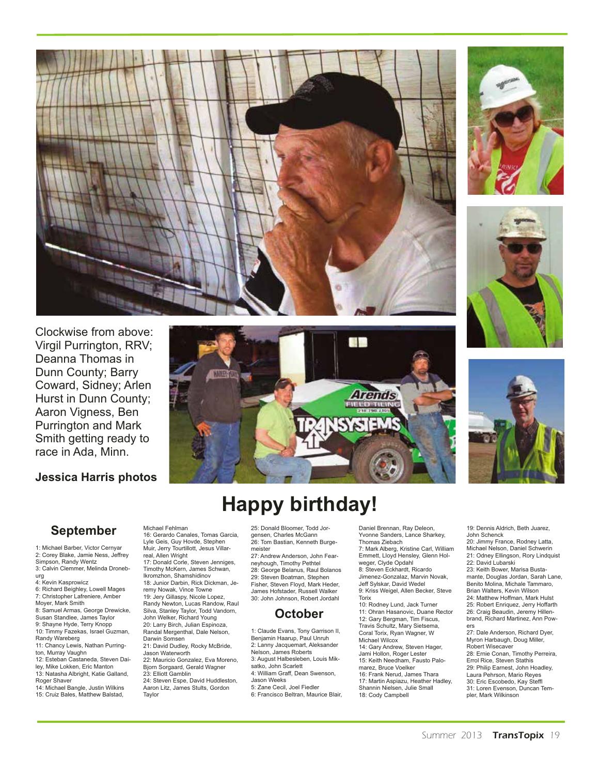









**图 400** 

#### **Happy birthday!**

#### **September**

**Jessica Harris photos**

Virgil Purrington, RRV; Deanna Thomas in Dunn County; Barry Coward, Sidney; Arlen Hurst in Dunn County; Aaron Vigness, Ben Purrington and Mark Smith getting ready to race in Ada, Minn.

1: Michael Barber, Victor Cernyar 2: Corey Blake, Jamie Ness, Jeffrey Simpson, Randy Wentz 3: Calvin Clemmer, Melinda Droneburg 4: Kevin Kasprowicz 6: Richard Beighley, Lowell Mages 7: Christopher Lafreniere, Amber Moyer, Mark Smith 8: Samuel Armas, George Drewicke, Susan Standlee, James Taylor 9: Shayne Hyde, Terry Knopp 10: Timmy Fazekas, Israel Guzman, Randy Wareberg 11: Chancy Lewis, Nathan Purrington, Murray Vaughn 12: Esteban Castaneda, Steven Dailey, Mike Lokken, Eric Manton 13: Natasha Albright, Katie Galland,

Roger Shaver 14: Michael Bangle, Justin Wilkins 15: Cruiz Bales, Matthew Balstad,

Michael Fehlman 16: Gerardo Canales, Tomas Garcia, Lyle Geis, Guy Hovde, Stephen Muir, Jerry Tourtillott, Jesus Villarreal, Allen Wright 17: Donald Corle, Steven Jenniges, Timothy McKern, James Schwan, Ikromzhon, Shamshidinov 18: Junior Darbin, Rick Dickman, Jeremy Nowak, Vince Towne 19: Jery Gillaspy, Nicole Lopez, Randy Newton, Lucas Randow, Raul Silva, Stanley Taylor, Todd Vandorn, John Welker, Richard Young 20: Larry Birch, Julian Espinoza, Randal Mergenthal, Dale Nelson, Darwin Somsen 21: David Dudley, Rocky McBride, Jason Waterworth 22: Mauricio Gonzalez, Eva Moreno, Bjorn Sorgaard, Gerald Wagner 23: Elliott Gamblin 24: Steven Espe, David Huddleston, Aaron Litz, James Stults, Gordon Taylor

25: Donald Bloomer, Todd Jorgensen, Charles McGann 26: Tom Bastian, Kenneth Burgemeister 27: Andrew Anderson, John Fearneyhough, Timothy Pethtel 28: George Belanus, Raul Bolanos 29: Steven Boatman, Stephen Fisher, Steven Floyd, Mark Heder, James Hofstader, Russell Walker 30: John Johnson, Robert Jordahl

#### **October**

1: Claude Evans, Tony Garrison II, Benjamin Haarup, Paul Unruh 2: Lanny Jacquemart, Aleksander Nelson, James Roberts 3: August Halbesleben, Louis Miksatko, John Scarlett 4: William Graff, Dean Swenson, Jason Weeks 5: Zane Cecil, Joel Fiedler 6: Francisco Beltran, Maurice Blair, Daniel Brennan, Ray Deleon, Yvonne Sanders, Lance Sharkey, Thomas Ziebach 7: Mark Alberg, Kristine Carl, William Emmett, Lloyd Hensley, Glenn Holweger, Clyde Opdahl 8: Steven Eckhardt, Ricardo Jimenez-Gonzalaz, Marvin Novak, Jeff Sylskar, David Wedel 9: Kriss Weigel, Allen Becker, Steve Torix 10: Rodney Lund, Jack Turner

11: Ohran Hasanovic, Duane Rector 12: Gary Bergman, Tim Fiscus, Travis Schultz, Mary Sietsema, Coral Torix, Ryan Wagner, W Michael Wilcox 14: Gary Andrew, Steven Hager, Jami Hollon, Roger Lester 15: Keith Needham, Fausto Palomarez, Bruce Voelker 16: Frank Nerud, James Thara 17: Martin Aspiazu, Heather Hadley, Shannin Nielsen, Julie Small 18: Cody Campbell

19: Dennis Aldrich, Beth Juarez, John Schenck 20: Jimmy France, Rodney Latta, Michael Nelson, Daniel Schwerin 21: Odney Ellingson, Rory Lindquist 22: David Lubarski 23: Keith Bower, Marisa Bustamante, Douglas Jordan, Sarah Lane, Benito Molina, Michale Tammaro, Brian Walters, Kevin Wilson 24: Matthew Hoffman, Mark Hulst 25: Robert Enriquez, Jerry Hoffarth 26: Craig Beaudin, Jeremy Hillenbrand, Richard Martinez, Ann Powers 27: Dale Anderson, Richard Dyer, Myron Harbaugh, Doug Miller,

Robert Wisecaver 28: Ernie Conan, Timothy Perreira, Errol Rice, Steven Stathis 29: Philip Earnest, John Hoadley, Laura Pehrson, Mario Reyes 30: Eric Escobedo, Kay Steffl 31: Loren Evenson, Duncan Templer, Mark Wilkinson